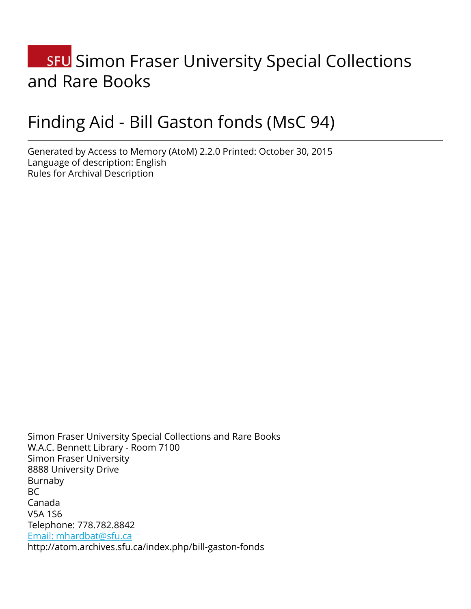# **SFU** Simon Fraser University Special Collections and Rare Books

# Finding Aid - Bill Gaston fonds (MsC 94)

Generated by Access to Memory (AtoM) 2.2.0 Printed: October 30, 2015 Language of description: English Rules for Archival Description

Simon Fraser University Special Collections and Rare Books W.A.C. Bennett Library - Room 7100 Simon Fraser University 8888 University Drive Burnaby BC Canada V5A 1S6 Telephone: 778.782.8842 [Email: mhardbat@sfu.ca](mailto:Email: mhardbat@sfu.ca) http://atom.archives.sfu.ca/index.php/bill-gaston-fonds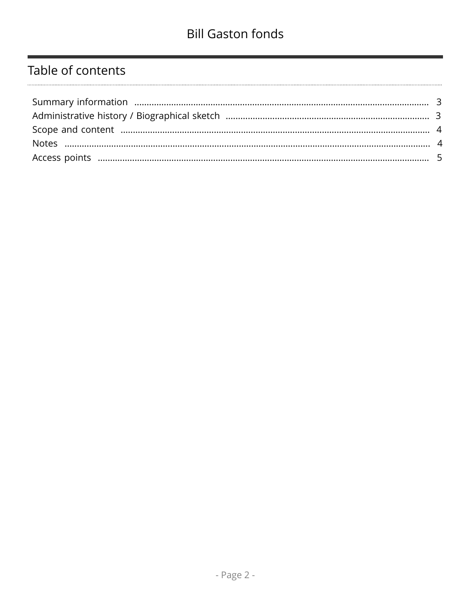# Table of contents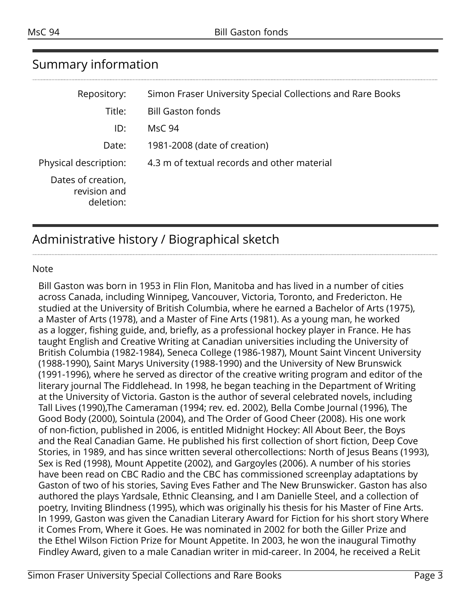| Simon Fraser University Special Collections and Rare Books |
|------------------------------------------------------------|
| <b>Bill Gaston fonds</b>                                   |
| <b>MsC 94</b>                                              |
| 1981-2008 (date of creation)                               |
| 4.3 m of textual records and other material                |
|                                                            |
|                                                            |

# <span id="page-2-0"></span>Summary information

# <span id="page-2-1"></span>Administrative history / Biographical sketch

#### Note

Bill Gaston was born in 1953 in Flin Flon, Manitoba and has lived in a number of cities across Canada, including Winnipeg, Vancouver, Victoria, Toronto, and Fredericton. He studied at the University of British Columbia, where he earned a Bachelor of Arts (1975), a Master of Arts (1978), and a Master of Fine Arts (1981). As a young man, he worked as a logger, fishing guide, and, briefly, as a professional hockey player in France. He has taught English and Creative Writing at Canadian universities including the University of British Columbia (1982-1984), Seneca College (1986-1987), Mount Saint Vincent University (1988-1990), Saint Marys University (1988-1990) and the University of New Brunswick (1991-1996), where he served as director of the creative writing program and editor of the literary journal The Fiddlehead. In 1998, he began teaching in the Department of Writing at the University of Victoria. Gaston is the author of several celebrated novels, including Tall Lives (1990),The Cameraman (1994; rev. ed. 2002), Bella Combe Journal (1996), The Good Body (2000), Sointula (2004), and The Order of Good Cheer (2008). His one work of non-fiction, published in 2006, is entitled Midnight Hockey: All About Beer, the Boys and the Real Canadian Game. He published his first collection of short fiction, Deep Cove Stories, in 1989, and has since written several othercollections: North of Jesus Beans (1993), Sex is Red (1998), Mount Appetite (2002), and Gargoyles (2006). A number of his stories have been read on CBC Radio and the CBC has commissioned screenplay adaptations by Gaston of two of his stories, Saving Eves Father and The New Brunswicker. Gaston has also authored the plays Yardsale, Ethnic Cleansing, and I am Danielle Steel, and a collection of poetry, Inviting Blindness (1995), which was originally his thesis for his Master of Fine Arts. In 1999, Gaston was given the Canadian Literary Award for Fiction for his short story Where it Comes From, Where it Goes. He was nominated in 2002 for both the Giller Prize and the Ethel Wilson Fiction Prize for Mount Appetite. In 2003, he won the inaugural Timothy Findley Award, given to a male Canadian writer in mid-career. In 2004, he received a ReLit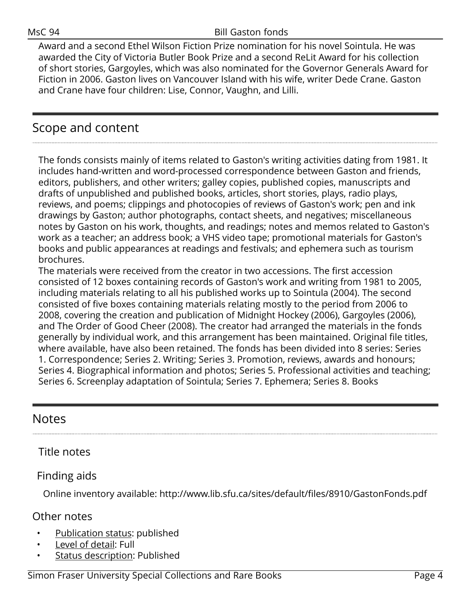Award and a second Ethel Wilson Fiction Prize nomination for his novel Sointula. He was awarded the City of Victoria Butler Book Prize and a second ReLit Award for his collection of short stories, Gargoyles, which was also nominated for the Governor Generals Award for Fiction in 2006. Gaston lives on Vancouver Island with his wife, writer Dede Crane. Gaston and Crane have four children: Lise, Connor, Vaughn, and Lilli.

# <span id="page-3-0"></span>Scope and content

The fonds consists mainly of items related to Gaston's writing activities dating from 1981. It includes hand-written and word-processed correspondence between Gaston and friends, editors, publishers, and other writers; galley copies, published copies, manuscripts and drafts of unpublished and published books, articles, short stories, plays, radio plays, reviews, and poems; clippings and photocopies of reviews of Gaston's work; pen and ink drawings by Gaston; author photographs, contact sheets, and negatives; miscellaneous notes by Gaston on his work, thoughts, and readings; notes and memos related to Gaston's work as a teacher; an address book; a VHS video tape; promotional materials for Gaston's books and public appearances at readings and festivals; and ephemera such as tourism brochures.

The materials were received from the creator in two accessions. The first accession consisted of 12 boxes containing records of Gaston's work and writing from 1981 to 2005, including materials relating to all his published works up to Sointula (2004). The second consisted of five boxes containing materials relating mostly to the period from 2006 to 2008, covering the creation and publication of Midnight Hockey (2006), Gargoyles (2006), and The Order of Good Cheer (2008). The creator had arranged the materials in the fonds generally by individual work, and this arrangement has been maintained. Original file titles, where available, have also been retained. The fonds has been divided into 8 series: Series 1. Correspondence; Series 2. Writing; Series 3. Promotion, reviews, awards and honours; Series 4. Biographical information and photos; Series 5. Professional activities and teaching; Series 6. Screenplay adaptation of Sointula; Series 7. Ephemera; Series 8. Books

## <span id="page-3-1"></span>Notes

### Title notes

### Finding aids

Online inventory available: http://www.lib.sfu.ca/sites/default/files/8910/GastonFonds.pdf

### Other notes

- Publication status: published
- Level of detail: Full
- Status description: Published